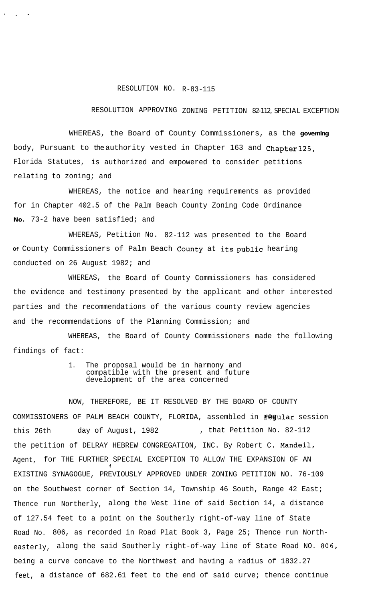## RESOLUTION NO. R-83-115

. . -

## RESOLUTION APPROVING ZONING PETITION 82-112, SPECIAL EXCEPTION

WHEREAS, the Board of County Commissioners, as the **governing** body, Pursuant to the authority vested in Chapter 163 and Chapter 125, Florida Statutes, is authorized and empowered to consider petitions relating to zoning; and

WHEREAS, the notice and hearing requirements as provided for in Chapter 402.5 of the Palm Beach County Zoning Code Ordinance **No.** 73-2 have been satisfied; and

WHEREAS, Petition No. 82-112 was presented to the Board **Of** County Commissioners of Palm Beach County at its public hearing conducted on 26 August 1982; and

WHEREAS, the Board of County Commissioners has considered the evidence and testimony presented by the applicant and other interested parties and the recommendations of the various county review agencies and the recommendations of the Planning Commission; and

WHEREAS, the Board of County Commissioners made the following findings of fact:

## 1. The proposal would be in harmony and compatible with the present and future development of the area concerned

NOW, THEREFORE, BE IT RESOLVED BY THE BOARD OF COUNTY COMMISSIONERS OF PALM BEACH COUNTY, FLORIDA, assembled in Fegular session this 26th day of August, 1982 , that Petition No. 82-112 the petition of DELRAY HEBREW CONGREGATION, INC. By Robert C. Mandell, Agent, for THE FURTHER SPECIAL EXCEPTION TO ALLOW THE EXPANSION OF AN 1 EXISTING SYNAGOGUE, PREVIOUSLY APPROVED UNDER ZONING PETITION NO. 76-109 on the Southwest corner of Section 14, Township 46 South, Range 42 East; Thence run Northerly, along the West line of said Section 14, a distance of 127.54 feet to a point on the Southerly right-of-way line of State Road No. 806, as recorded in Road Plat Book 3, Page 25; Thence run Northeasterly, along the said Southerly right-of-way line of State Road NO. 806, being a curve concave to the Northwest and having a radius of 1832.27 feet, a distance of 682.61 feet to the end of said curve; thence continue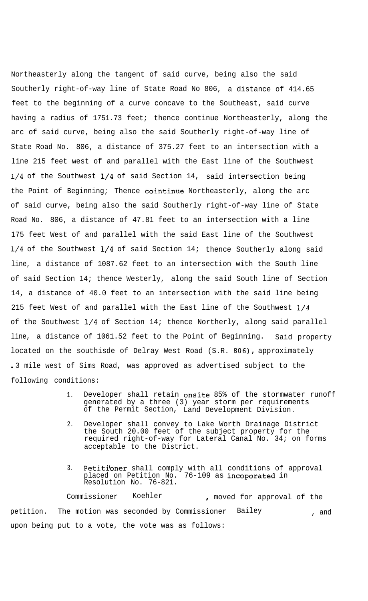Northeasterly along the tangent of said curve, being also the said Southerly right-of-way line of State Road No 806, a distance of 414.65 feet to the beginning of a curve concave to the Southeast, said curve having a radius of 1751.73 feet; thence continue Northeasterly, along the arc of said curve, being also the said Southerly right-of-way line of State Road No. 806, a distance of 375.27 feet to an intersection with a line 215 feet west of and parallel with the East line of the Southwest l/4 of the Southwest l/4 of said Section 14, said intersection being the Point of Beginning; Thence cointinue Northeasterly, along the arc of said curve, being also the said Southerly right-of-way line of State Road No. 806, a distance of 47.81 feet to an intersection with a line 175 feet West of and parallel with the said East line of the Southwest l/4 of the Southwest l/4 of said Section 14; thence Southerly along said line, a distance of 1087.62 feet to an intersection with the South line of said Section 14; thence Westerly, along the said South line of Section 14, a distance of 40.0 feet to an intersection with the said line being 215 feet West of and parallel with the East line of the Southwest l/4 of the Southwest l/4 of Section 14; thence Northerly, along said parallel line, a distance of 1061.52 feet to the Point of Beginning. Said property located on the southisde of Delray West Road (S.R. 806), approximately .3 mile west of Sims Road, was approved as advertised subject to the following conditions:

- 1. Developer shall retain onsite 85% of the stormwater runoff generated by a three (3) year storm per requirements of the Permit Section, Land Development Division.
- 2. Developer shall convey to Lake Worth Drainage District the South 20.00 feet of the subject property for the required right-of-way for Lateral Canal No. 34; on forms acceptable to the District.
- 3. Petitioner shall comply with all conditions of approval placed on Petition No. 76-109 as incoporated in Resolution No. 76-821.

Commissioner Koehler , moved for approval of the petition. The motion was seconded by Commissioner Bailey , and upon being put to a vote, the vote was as follows: